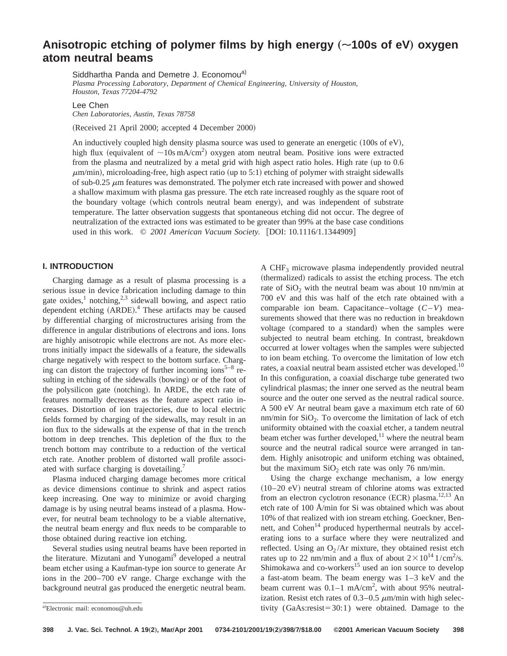# Anisotropic etching of polymer films by high energy ( $\sim$ 100s of eV) oxygen **atom neutral beams**

Siddhartha Panda and Demetre J. Economou<sup>a)</sup> *Plasma Processing Laboratory, Department of Chemical Engineering, University of Houston, Houston, Texas 77204-4792*

Lee Chen *Chen Laboratories, Austin, Texas 78758*

(Received 21 April 2000; accepted 4 December 2000)

An inductively coupled high density plasma source was used to generate an energetic  $(100s ~6eV)$ , high flux (equivalent of  $\sim$ 10s mA/cm<sup>2</sup>) oxygen atom neutral beam. Positive ions were extracted from the plasma and neutralized by a metal grid with high aspect ratio holes. High rate (up to 0.6  $\mu$ m/min), microloading-free, high aspect ratio (up to 5:1) etching of polymer with straight sidewalls of sub-0.25  $\mu$ m features was demonstrated. The polymer etch rate increased with power and showed a shallow maximum with plasma gas pressure. The etch rate increased roughly as the square root of the boundary voltage (which controls neutral beam energy), and was independent of substrate temperature. The latter observation suggests that spontaneous etching did not occur. The degree of neutralization of the extracted ions was estimated to be greater than 99% at the base case conditions used in this work.  $\odot$  2001 American Vacuum Society. [DOI: 10.1116/1.1344909]

## **I. INTRODUCTION**

Charging damage as a result of plasma processing is a serious issue in device fabrication including damage to thin gate oxides, $\frac{1}{2}$  notching, $\frac{2}{3}$  sidewall bowing, and aspect ratio dependent etching (ARDE).<sup>4</sup> These artifacts may be caused by differential charging of microstructures arising from the difference in angular distributions of electrons and ions. Ions are highly anisotropic while electrons are not. As more electrons initially impact the sidewalls of a feature, the sidewalls charge negatively with respect to the bottom surface. Charging can distort the trajectory of further incoming ions<sup>5–8</sup> resulting in etching of the sidewalls (bowing) or of the foot of the polysilicon gate (notching). In ARDE, the etch rate of features normally decreases as the feature aspect ratio increases. Distortion of ion trajectories, due to local electric fields formed by charging of the sidewalls, may result in an ion flux to the sidewalls at the expense of that in the trench bottom in deep trenches. This depletion of the flux to the trench bottom may contribute to a reduction of the vertical etch rate. Another problem of distorted wall profile associated with surface charging is dovetailing.7

Plasma induced charging damage becomes more critical as device dimensions continue to shrink and aspect ratios keep increasing. One way to minimize or avoid charging damage is by using neutral beams instead of a plasma. However, for neutral beam technology to be a viable alternative, the neutral beam energy and flux needs to be comparable to those obtained during reactive ion etching.

Several studies using neutral beams have been reported in the literature. Mizutani and Yunogami<sup>9</sup> developed a neutral beam etcher using a Kaufman-type ion source to generate Ar ions in the 200–700 eV range. Charge exchange with the background neutral gas produced the energetic neutral beam. A CHF3 microwave plasma independently provided neutral (thermalized) radicals to assist the etching process. The etch rate of  $SiO<sub>2</sub>$  with the neutral beam was about 10 nm/min at 700 eV and this was half of the etch rate obtained with a comparable ion beam. Capacitance–voltage (*C*–*V*) measurements showed that there was no reduction in breakdown voltage (compared to a standard) when the samples were subjected to neutral beam etching. In contrast, breakdown occurred at lower voltages when the samples were subjected to ion beam etching. To overcome the limitation of low etch rates, a coaxial neutral beam assisted etcher was developed.<sup>10</sup> In this configuration, a coaxial discharge tube generated two cylindrical plasmas; the inner one served as the neutral beam source and the outer one served as the neutral radical source. A 500 eV Ar neutral beam gave a maximum etch rate of 60 nm/min for  $SiO<sub>2</sub>$ . To overcome the limitation of lack of etch uniformity obtained with the coaxial etcher, a tandem neutral beam etcher was further developed, $^{11}$  where the neutral beam source and the neutral radical source were arranged in tandem. Highly anisotropic and uniform etching was obtained, but the maximum  $SiO<sub>2</sub>$  etch rate was only 76 nm/min.

Using the charge exchange mechanism, a low energy  $(10-20$  eV) neutral stream of chlorine atoms was extracted from an electron cyclotron resonance  $(ECR)$  plasma.<sup>12,13</sup> An etch rate of 100 Å/min for Si was obtained which was about 10% of that realized with ion stream etching. Goeckner, Bennett, and  $Cohen<sup>14</sup>$  produced hyperthermal neutrals by accelerating ions to a surface where they were neutralized and reflected. Using an  $O_2/Ar$  mixture, they obtained resist etch rates up to 22 nm/min and a flux of about  $2 \times 10^{14}$  1/cm<sup>2</sup>/s. Shimokawa and co-workers<sup>15</sup> used an ion source to develop a fast-atom beam. The beam energy was 1–3 keV and the beam current was  $0.1-1$  mA/cm<sup>2</sup>, with about 95% neutralization. Resist etch rates of  $0.3-0.5 \mu$ m/min with high selectivity  $(GaAs:resist=30:1)$  were obtained. Damage to the

a)Electronic mail: economou@uh.edu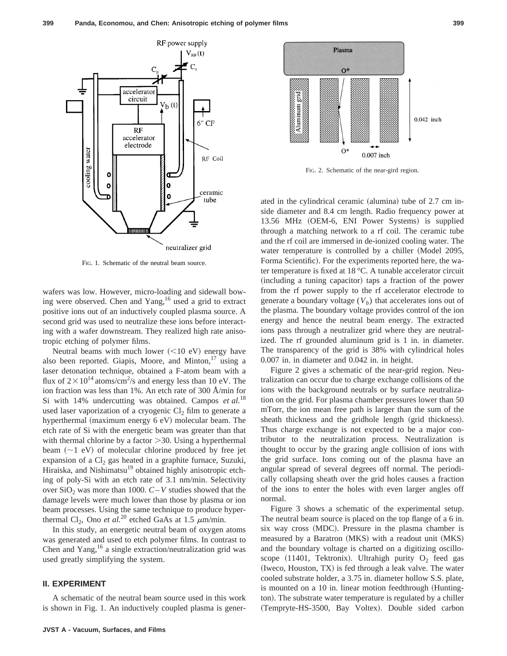

FIG. 1. Schematic of the neutral beam source.

wafers was low. However, micro-loading and sidewall bowing were observed. Chen and Yang,<sup>16</sup> used a grid to extract positive ions out of an inductively coupled plasma source. A second grid was used to neutralize these ions before interacting with a wafer downstream. They realized high rate anisotropic etching of polymer films.

Neutral beams with much lower  $(<10$  eV) energy have also been reported. Giapis, Moore, and Minton,<sup>17</sup> using a laser detonation technique, obtained a F-atom beam with a flux of  $2 \times 10^{14}$  atoms/cm<sup>2</sup>/s and energy less than 10 eV. The ion fraction was less than 1%. An etch rate of 300 Å/min for Si with 14% undercutting was obtained. Campos *et al.*<sup>18</sup> used laser vaporization of a cryogenic  $Cl<sub>2</sub>$  film to generate a hyperthermal (maximum energy  $6$  eV) molecular beam. The etch rate of Si with the energetic beam was greater than that with thermal chlorine by a factor  $>30$ . Using a hyperthermal beam  $(\sim 1$  eV) of molecular chlorine produced by free jet expansion of a  $Cl<sub>2</sub>$  gas heated in a graphite furnace, Suzuki, Hiraiska, and Nishimatsu<sup>19</sup> obtained highly anisotropic etching of poly-Si with an etch rate of 3.1 nm/min. Selectivity over  $SiO_2$  was more than 1000.  $C-V$  studies showed that the damage levels were much lower than those by plasma or ion beam processes. Using the same technique to produce hyperthermal Cl<sub>2</sub>, Ono *et al.*<sup>20</sup> etched GaAs at 1.5  $\mu$ m/min.

In this study, an energetic neutral beam of oxygen atoms was generated and used to etch polymer films. In contrast to Chen and Yang, $16$  a single extraction/neutralization grid was used greatly simplifying the system.

## **II. EXPERIMENT**

A schematic of the neutral beam source used in this work is shown in Fig. 1. An inductively coupled plasma is gener-



FIG. 2. Schematic of the near-gird region.

ated in the cylindrical ceramic (alumina) tube of  $2.7 \text{ cm}$  inside diameter and 8.4 cm length. Radio frequency power at 13.56 MHz (OEM-6, ENI Power Systems) is supplied through a matching network to a rf coil. The ceramic tube and the rf coil are immersed in de-ionized cooling water. The water temperature is controlled by a chiller (Model 2095, Forma Scientific). For the experiments reported here, the water temperature is fixed at 18 °C. A tunable accelerator circuit (including a tuning capacitor) taps a fraction of the power from the rf power supply to the rf accelerator electrode to generate a boundary voltage  $(V_b)$  that accelerates ions out of the plasma. The boundary voltage provides control of the ion energy and hence the neutral beam energy. The extracted ions pass through a neutralizer grid where they are neutralized. The rf grounded aluminum grid is 1 in. in diameter. The transparency of the grid is 38% with cylindrical holes 0.007 in. in diameter and 0.042 in. in height.

Figure 2 gives a schematic of the near-grid region. Neutralization can occur due to charge exchange collisions of the ions with the background neutrals or by surface neutralization on the grid. For plasma chamber pressures lower than 50 mTorr, the ion mean free path is larger than the sum of the sheath thickness and the gridhole length (grid thickness). Thus charge exchange is not expected to be a major contributor to the neutralization process. Neutralization is thought to occur by the grazing angle collision of ions with the grid surface. Ions coming out of the plasma have an angular spread of several degrees off normal. The periodically collapsing sheath over the grid holes causes a fraction of the ions to enter the holes with even larger angles off normal.

Figure 3 shows a schematic of the experimental setup. The neutral beam source is placed on the top flange of a 6 in. six way cross (MDC). Pressure in the plasma chamber is measured by a Baratron (MKS) with a readout unit (MKS) and the boundary voltage is charted on a digitizing oscilloscope  $(11401,$  Tektronix). Ultrahigh purity O<sub>2</sub> feed gas (Iweco, Houston, TX) is fed through a leak valve. The water cooled substrate holder, a 3.75 in. diameter hollow S.S. plate, is mounted on a 10 in. linear motion feedthrough (Huntington). The substrate water temperature is regulated by a chiller (Tempryte-HS-3500, Bay Voltex). Double sided carbon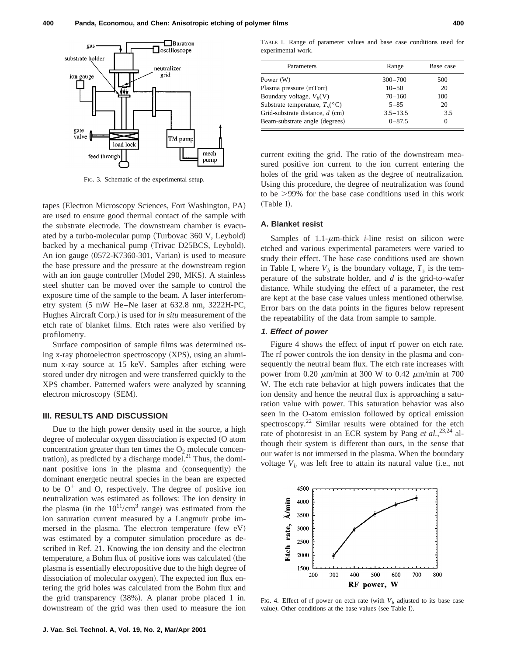

FIG. 3. Schematic of the experimental setup.

tapes (Electron Microscopy Sciences, Fort Washington, PA) are used to ensure good thermal contact of the sample with the substrate electrode. The downstream chamber is evacuated by a turbo-molecular pump (Turbovac  $360$  V, Leybold) backed by a mechanical pump (Trivac D25BCS, Leybold). An ion gauge  $(0572-K7360-301, \text{Varian})$  is used to measure the base pressure and the pressure at the downstream region with an ion gauge controller (Model 290, MKS). A stainless steel shutter can be moved over the sample to control the exposure time of the sample to the beam. A laser interferometry system  $(5 \text{ mW He-Ne laser at } 632.8 \text{ nm}, 3222H-PC,$ Hughes Aircraft Corp.) is used for *in situ* measurement of the etch rate of blanket films. Etch rates were also verified by profilometry.

Surface composition of sample films was determined using x-ray photoelectron spectroscopy  $(XPS)$ , using an aluminum x-ray source at 15 keV. Samples after etching were stored under dry nitrogen and were transferred quickly to the XPS chamber. Patterned wafers were analyzed by scanning electron microscopy (SEM).

## **III. RESULTS AND DISCUSSION**

Due to the high power density used in the source, a high degree of molecular oxygen dissociation is expected (O atom concentration greater than ten times the  $O_2$  molecule concentration), as predicted by a discharge model. $^{21}$  Thus, the dominant positive ions in the plasma and (consequently) the dominant energetic neutral species in the bean are expected to be  $O^+$  and O, respectively. The degree of positive ion neutralization was estimated as follows: The ion density in the plasma (in the  $10^{11}/\text{cm}^3$  range) was estimated from the ion saturation current measured by a Langmuir probe immersed in the plasma. The electron temperature (few  $eV$ ) was estimated by a computer simulation procedure as described in Ref. 21. Knowing the ion density and the electron temperature, a Bohm flux of positive ions was calculated (the plasma is essentially electropositive due to the high degree of dissociation of molecular oxygen). The expected ion flux entering the grid holes was calculated from the Bohm flux and the grid transparency  $(38%)$ . A planar probe placed 1 in. downstream of the grid was then used to measure the ion

TABLE I. Range of parameter values and base case conditions used for experimental work.

| Parameters                                   | Range        | Base case |
|----------------------------------------------|--------------|-----------|
| Power (W)                                    | $300 - 700$  | 500       |
| Plasma pressure (mTorr)                      | $10 - 50$    | 20        |
| Boundary voltage, $V_h(V)$                   | $70 - 160$   | 100       |
| Substrate temperature, $T_c$ <sup>o</sup> C) | $5 - 85$     | 20        |
| Grid-substrate distance, $d$ (cm)            | $3.5 - 13.5$ | 3.5       |
| Beam-substrate angle (degrees)               | $0 - 87.5$   | 0         |

current exiting the grid. The ratio of the downstream measured positive ion current to the ion current entering the holes of the grid was taken as the degree of neutralization. Using this procedure, the degree of neutralization was found to be  $>99\%$  for the base case conditions used in this work (Table I).

# **A. Blanket resist**

Samples of  $1.1$ - $\mu$ m-thick *i*-line resist on silicon were etched and various experimental parameters were varied to study their effect. The base case conditions used are shown in Table I, where  $V_b$  is the boundary voltage,  $T_s$  is the temperature of the substrate holder, and *d* is the grid-to-wafer distance. While studying the effect of a parameter, the rest are kept at the base case values unless mentioned otherwise. Error bars on the data points in the figures below represent the repeatability of the data from sample to sample.

### **1. Effect of power**

Figure 4 shows the effect of input rf power on etch rate. The rf power controls the ion density in the plasma and consequently the neutral beam flux. The etch rate increases with power from 0.20  $\mu$ m/min at 300 W to 0.42  $\mu$ m/min at 700 W. The etch rate behavior at high powers indicates that the ion density and hence the neutral flux is approaching a saturation value with power. This saturation behavior was also seen in the O-atom emission followed by optical emission spectroscopy.<sup>22</sup> Similar results were obtained for the etch rate of photoresist in an ECR system by Pang *et al.*,<sup>23,24</sup> although their system is different than ours, in the sense that our wafer is not immersed in the plasma. When the boundary voltage  $V_b$  was left free to attain its natural value (i.e., not



FIG. 4. Effect of rf power on etch rate (with  $V_b$  adjusted to its base case value). Other conditions at the base values (see Table I).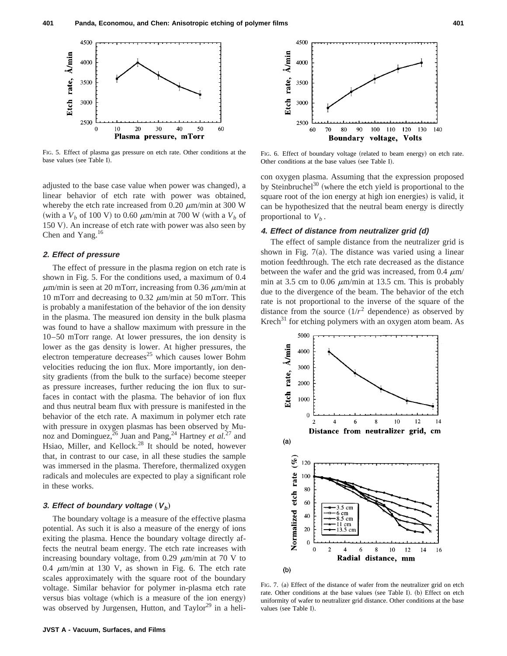

FIG. 5. Effect of plasma gas pressure on etch rate. Other conditions at the FIG. 5. Effect of plasma gas pressure on etch rate. Other conditions at the FIG. 6. Effect of boundary voltage (related to beam energy) on etch rate.<br>Other conditions at the base values (see Table I).

adjusted to the base case value when power was changed), a linear behavior of etch rate with power was obtained, whereby the etch rate increased from 0.20  $\mu$ m/min at 300 W (with a  $V_b$  of 100 V) to 0.60  $\mu$ m/min at 700 W (with a  $V_b$  of 150 V). An increase of etch rate with power was also seen by Chen and Yang. $16$ 

## **2. Effect of pressure**

The effect of pressure in the plasma region on etch rate is shown in Fig. 5. For the conditions used, a maximum of 0.4  $\mu$ m/min is seen at 20 mTorr, increasing from 0.36  $\mu$ m/min at 10 mTorr and decreasing to 0.32  $\mu$ m/min at 50 mTorr. This is probably a manifestation of the behavior of the ion density in the plasma. The measured ion density in the bulk plasma was found to have a shallow maximum with pressure in the 10–50 mTorr range. At lower pressures, the ion density is lower as the gas density is lower. At higher pressures, the electron temperature decreases<sup>25</sup> which causes lower Bohm velocities reducing the ion flux. More importantly, ion density gradients (from the bulk to the surface) become steeper as pressure increases, further reducing the ion flux to surfaces in contact with the plasma. The behavior of ion flux and thus neutral beam flux with pressure is manifested in the behavior of the etch rate. A maximum in polymer etch rate with pressure in oxygen plasmas has been observed by Munoz and Dominguez,<sup>26</sup> Juan and Pang,<sup>24</sup> Hartney *et al.*<sup>27</sup> and Hsiao, Miller, and Kellock.<sup>28</sup> It should be noted, however that, in contrast to our case, in all these studies the sample was immersed in the plasma. Therefore, thermalized oxygen radicals and molecules are expected to play a significant role in these works.

# **3. Effect of boundary voltage**  $(V_b)$

The boundary voltage is a measure of the effective plasma potential. As such it is also a measure of the energy of ions exiting the plasma. Hence the boundary voltage directly affects the neutral beam energy. The etch rate increases with increasing boundary voltage, from 0.29  $\mu$ m/min at 70 V to 0.4  $\mu$ m/min at 130 V, as shown in Fig. 6. The etch rate scales approximately with the square root of the boundary voltage. Similar behavior for polymer in-plasma etch rate versus bias voltage (which is a measure of the ion energy) was observed by Jurgensen, Hutton, and Taylor<sup>29</sup> in a heli-



Other conditions at the base values (see Table I).

con oxygen plasma. Assuming that the expression proposed by Steinbruchel<sup>30</sup> (where the etch yield is proportional to the square root of the ion energy at high ion energies) is valid, it can be hypothesized that the neutral beam energy is directly proportional to  $V_b$ .

# **4. Effect of distance from neutralizer grid (d)**

The effect of sample distance from the neutralizer grid is shown in Fig.  $7(a)$ . The distance was varied using a linear motion feedthrough. The etch rate decreased as the distance between the wafer and the grid was increased, from 0.4  $\mu$ m/ min at 3.5 cm to 0.06  $\mu$ m/min at 13.5 cm. This is probably due to the divergence of the beam. The behavior of the etch rate is not proportional to the inverse of the square of the distance from the source  $(1/r^2$  dependence) as observed by  $Krech<sup>31</sup>$  for etching polymers with an oxygen atom beam. As



FIG. 7. (a) Effect of the distance of wafer from the neutralizer grid on etch rate. Other conditions at the base values (see Table I). (b) Effect on etch uniformity of wafer to neutralizer grid distance. Other conditions at the base values (see Table I).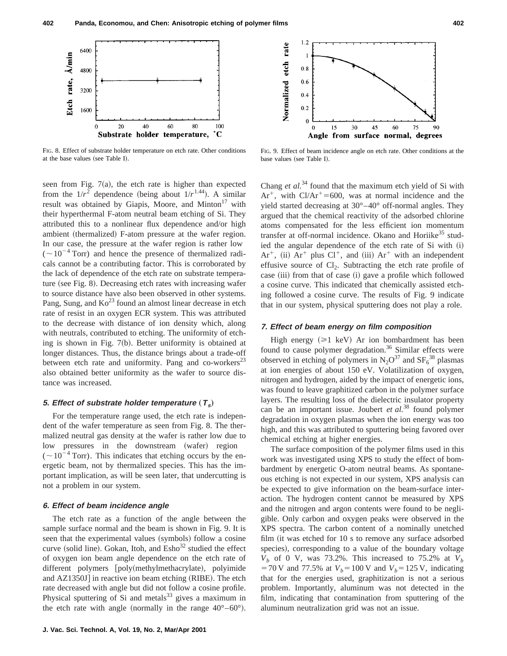

FIG. 8. Effect of substrate holder temperature on etch rate. Other conditions at the base values (see Table I).

seen from Fig.  $7(a)$ , the etch rate is higher than expected from the  $1/r^2$  dependence (being about  $1/r^{1.44}$ ). A similar result was obtained by Giapis, Moore, and Minton $17$  with their hyperthermal F-atom neutral beam etching of Si. They attributed this to a nonlinear flux dependence and/or high ambient (thermalized) F-atom pressure at the wafer region. In our case, the pressure at the wafer region is rather low  $({\sim}10^{-4}$  Torr) and hence the presence of thermalized radicals cannot be a contributing factor. This is corroborated by the lack of dependence of the etch rate on substrate temperature (see Fig. 8). Decreasing etch rates with increasing wafer to source distance have also been observed in other systems. Pang, Sung, and  $\text{K}^2$  found an almost linear decrease in etch rate of resist in an oxygen ECR system. This was attributed to the decrease with distance of ion density which, along with neutrals, contributed to etching. The uniformity of etching is shown in Fig.  $7(b)$ . Better uniformity is obtained at longer distances. Thus, the distance brings about a trade-off between etch rate and uniformity. Pang and co-workers<sup>23</sup> also obtained better uniformity as the wafer to source distance was increased.

#### **5. Effect** of substrate holder temperature  $(T_s)$

For the temperature range used, the etch rate is independent of the wafer temperature as seen from Fig. 8. The thermalized neutral gas density at the wafer is rather low due to low pressures in the downstream (wafer) region  $({\sim}10^{-4}$  Torr). This indicates that etching occurs by the energetic beam, not by thermalized species. This has the important implication, as will be seen later, that undercutting is not a problem in our system.

#### **6. Effect of beam incidence angle**

The etch rate as a function of the angle between the sample surface normal and the beam is shown in Fig. 9. It is seen that the experimental values (symbols) follow a cosine curve (solid line). Gokan, Itoh, and  $\text{Esho}^{32}$  studied the effect of oxygen ion beam angle dependence on the etch rate of different polymers [poly(methylmethacrylate), polyimide and  $AZ1350J$ ] in reactive ion beam etching (RIBE). The etch rate decreased with angle but did not follow a cosine profile. Physical sputtering of Si and metals $33$  gives a maximum in the etch rate with angle (normally in the range  $40^{\circ}$ –60°).



FIG. 9. Effect of beam incidence angle on etch rate. Other conditions at the base values (see Table I).

Chang *et al.*<sup>34</sup> found that the maximum etch yield of Si with Ar<sup>+</sup>, with Cl/Ar<sup>+</sup>=600, was at normal incidence and the yield started decreasing at 30°–40° off-normal angles. They argued that the chemical reactivity of the adsorbed chlorine atoms compensated for the less efficient ion momentum transfer at off-normal incidence. Okano and Horiike<sup>35</sup> studied the angular dependence of the etch rate of Si with (i)  $Ar^+$ , (ii)  $Ar^+$  plus  $Cl^+$ , and (iii)  $Ar^+$  with an independent effusive source of  $Cl_2$ . Subtracting the etch rate profile of case (iii) from that of case (i) gave a profile which followed a cosine curve. This indicated that chemically assisted etching followed a cosine curve. The results of Fig. 9 indicate that in our system, physical sputtering does not play a role.

#### **7. Effect of beam energy on film composition**

High energy  $(\geq 1 \text{ keV})$  Ar ion bombardment has been found to cause polymer degradation.<sup>36</sup> Similar effects were observed in etching of polymers in  $N_2O^{37}$  and  $SF_6^{38}$  plasmas at ion energies of about 150 eV. Volatilization of oxygen, nitrogen and hydrogen, aided by the impact of energetic ions, was found to leave graphitized carbon in the polymer surface layers. The resulting loss of the dielectric insulator property can be an important issue. Joubert *et al.*<sup>38</sup> found polymer degradation in oxygen plasmas when the ion energy was too high, and this was attributed to sputtering being favored over chemical etching at higher energies.

The surface composition of the polymer films used in this work was investigated using XPS to study the effect of bombardment by energetic O-atom neutral beams. As spontaneous etching is not expected in our system, XPS analysis can be expected to give information on the beam-surface interaction. The hydrogen content cannot be measured by XPS and the nitrogen and argon contents were found to be negligible. Only carbon and oxygen peaks were observed in the XPS spectra. The carbon content of a nominally unetched film (it was etched for  $10$  s to remove any surface adsorbed species), corresponding to a value of the boundary voltage  $V_b$  of 0 V, was 73.2%. This increased to 75.2% at  $V_b$  $=70 \text{ V}$  and 77.5% at  $V_b = 100 \text{ V}$  and  $V_b = 125 \text{ V}$ , indicating that for the energies used, graphitization is not a serious problem. Importantly, aluminum was not detected in the film, indicating that contamination from sputtering of the aluminum neutralization grid was not an issue.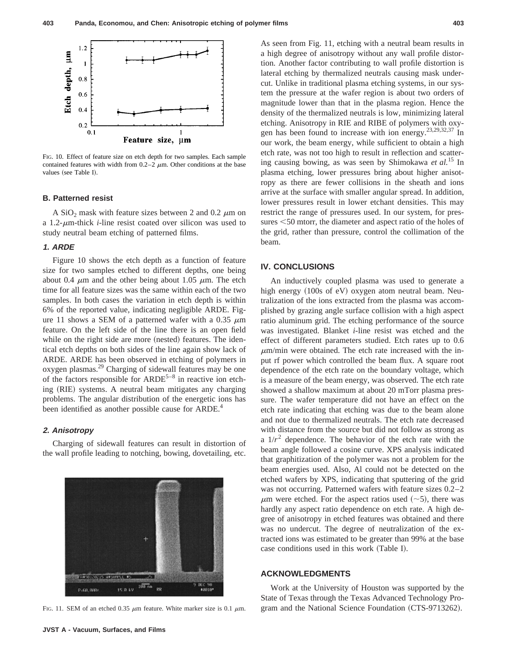

FIG. 10. Effect of feature size on etch depth for two samples. Each sample contained features with width from  $0.2-2 \mu m$ . Other conditions at the base values (see Table I).

#### **B. Patterned resist**

A SiO<sub>2</sub> mask with feature sizes between 2 and 0.2  $\mu$ m on a 1.2- $\mu$ m-thick *i*-line resist coated over silicon was used to study neutral beam etching of patterned films.

### **1. ARDE**

Figure 10 shows the etch depth as a function of feature size for two samples etched to different depths, one being about 0.4  $\mu$ m and the other being about 1.05  $\mu$ m. The etch time for all feature sizes was the same within each of the two samples. In both cases the variation in etch depth is within 6% of the reported value, indicating negligible ARDE. Figure 11 shows a SEM of a patterned wafer with a 0.35  $\mu$ m feature. On the left side of the line there is an open field while on the right side are more (nested) features. The identical etch depths on both sides of the line again show lack of ARDE. ARDE has been observed in etching of polymers in oxygen plasmas.29 Charging of sidewall features may be one of the factors responsible for  $ARDE^{5-8}$  in reactive ion etching (RIE) systems. A neutral beam mitigates any charging problems. The angular distribution of the energetic ions has been identified as another possible cause for ARDE.<sup>4</sup>

#### **2. Anisotropy**

Charging of sidewall features can result in distortion of the wall profile leading to notching, bowing, dovetailing, etc.



FIG. 11. SEM of an etched 0.35  $\mu$ m feature. White marker size is 0.1  $\mu$ m.

As seen from Fig. 11, etching with a neutral beam results in a high degree of anisotropy without any wall profile distortion. Another factor contributing to wall profile distortion is lateral etching by thermalized neutrals causing mask undercut. Unlike in traditional plasma etching systems, in our system the pressure at the wafer region is about two orders of magnitude lower than that in the plasma region. Hence the density of the thermalized neutrals is low, minimizing lateral etching. Anisotropy in RIE and RIBE of polymers with oxygen has been found to increase with ion energy.23,29,32,37 In our work, the beam energy, while sufficient to obtain a high etch rate, was not too high to result in reflection and scattering causing bowing, as was seen by Shimokawa *et al.*<sup>15</sup> In plasma etching, lower pressures bring about higher anisotropy as there are fewer collisions in the sheath and ions arrive at the surface with smaller angular spread. In addition, lower pressures result in lower etchant densities. This may restrict the range of pressures used. In our system, for pressures  $\leq 50$  mtorr, the diameter and aspect ratio of the holes of the grid, rather than pressure, control the collimation of the beam.

## **IV. CONCLUSIONS**

An inductively coupled plasma was used to generate a high energy  $(100s$  of eV) oxygen atom neutral beam. Neutralization of the ions extracted from the plasma was accomplished by grazing angle surface collision with a high aspect ratio aluminum grid. The etching performance of the source was investigated. Blanket *i*-line resist was etched and the effect of different parameters studied. Etch rates up to 0.6  $\mu$ m/min were obtained. The etch rate increased with the input rf power which controlled the beam flux. A square root dependence of the etch rate on the boundary voltage, which is a measure of the beam energy, was observed. The etch rate showed a shallow maximum at about 20 mTorr plasma pressure. The wafer temperature did not have an effect on the etch rate indicating that etching was due to the beam alone and not due to thermalized neutrals. The etch rate decreased with distance from the source but did not follow as strong as a  $1/r^2$  dependence. The behavior of the etch rate with the beam angle followed a cosine curve. XPS analysis indicated that graphitization of the polymer was not a problem for the beam energies used. Also, Al could not be detected on the etched wafers by XPS, indicating that sputtering of the grid was not occurring. Patterned wafers with feature sizes 0.2–2  $\mu$ m were etched. For the aspect ratios used (~5), there was hardly any aspect ratio dependence on etch rate. A high degree of anisotropy in etched features was obtained and there was no undercut. The degree of neutralization of the extracted ions was estimated to be greater than 99% at the base case conditions used in this work (Table I).

# **ACKNOWLEDGMENTS**

Work at the University of Houston was supported by the State of Texas through the Texas Advanced Technology Program and the National Science Foundation (CTS-9713262).